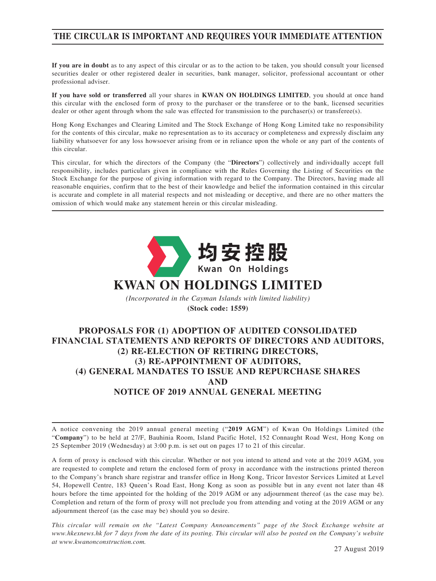# **THE CIRCULAR IS IMPORTANT AND REQUIRES YOUR IMMEDIATE ATTENTION**

**If you are in doubt** as to any aspect of this circular or as to the action to be taken, you should consult your licensed securities dealer or other registered dealer in securities, bank manager, solicitor, professional accountant or other professional adviser.

**If you have sold or transferred** all your shares in **KWAN ON HOLDINGS LIMITED**, you should at once hand this circular with the enclosed form of proxy to the purchaser or the transferee or to the bank, licensed securities dealer or other agent through whom the sale was effected for transmission to the purchaser(s) or transferee(s).

Hong Kong Exchanges and Clearing Limited and The Stock Exchange of Hong Kong Limited take no responsibility for the contents of this circular, make no representation as to its accuracy or completeness and expressly disclaim any liability whatsoever for any loss howsoever arising from or in reliance upon the whole or any part of the contents of this circular.

This circular, for which the directors of the Company (the "**Directors**") collectively and individually accept full responsibility, includes particulars given in compliance with the Rules Governing the Listing of Securities on the Stock Exchange for the purpose of giving information with regard to the Company. The Directors, having made all reasonable enquiries, confirm that to the best of their knowledge and belief the information contained in this circular is accurate and complete in all material respects and not misleading or deceptive, and there are no other matters the omission of which would make any statement herein or this circular misleading.



# **PROPOSALS FOR (1) ADOPTION OF AUDITED CONSOLIDATED FINANCIAL STATEMENTS AND REPORTS OF DIRECTORS AND AUDITORS, (2) RE-ELECTION OF RETIRING DIRECTORS, (3) RE-APPOINTMENT OF AUDITORS, (4) GENERAL MANDATES TO ISSUE AND REPURCHASE SHARES AND NOTICE OF 2019 ANNUAL GENERAL MEETING**

A notice convening the 2019 annual general meeting ("**2019 AGM**") of Kwan On Holdings Limited (the "**Company**") to be held at 27/F, Bauhinia Room, Island Pacific Hotel, 152 Connaught Road West, Hong Kong on 25 September 2019 (Wednesday) at 3:00 p.m. is set out on pages 17 to 21 of this circular.

A form of proxy is enclosed with this circular. Whether or not you intend to attend and vote at the 2019 AGM, you are requested to complete and return the enclosed form of proxy in accordance with the instructions printed thereon to the Company's branch share registrar and transfer office in Hong Kong, Tricor Investor Services Limited at Level 54, Hopewell Centre, 183 Queen's Road East, Hong Kong as soon as possible but in any event not later than 48 hours before the time appointed for the holding of the 2019 AGM or any adjournment thereof (as the case may be). Completion and return of the form of proxy will not preclude you from attending and voting at the 2019 AGM or any adjournment thereof (as the case may be) should you so desire.

*This circular will remain on the "Latest Company Announcements" page of the Stock Exchange website at www.hkexnews.hk for 7 days from the date of its posting. This circular will also be posted on the Company's website at www.kwanonconstruction.com.*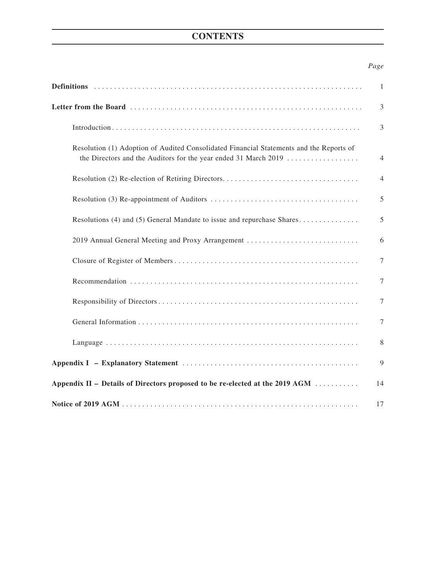# **CONTENTS**

## *Page*

|                                                                                                                                                            | $\mathbf{1}$   |
|------------------------------------------------------------------------------------------------------------------------------------------------------------|----------------|
|                                                                                                                                                            | 3              |
|                                                                                                                                                            | $\mathfrak{Z}$ |
| Resolution (1) Adoption of Audited Consolidated Financial Statements and the Reports of<br>the Directors and the Auditors for the year ended 31 March 2019 | $\overline{4}$ |
|                                                                                                                                                            | $\overline{4}$ |
|                                                                                                                                                            | 5              |
| Resolutions (4) and (5) General Mandate to issue and repurchase Shares                                                                                     | 5              |
| 2019 Annual General Meeting and Proxy Arrangement                                                                                                          | 6              |
|                                                                                                                                                            | $\tau$         |
|                                                                                                                                                            | 7              |
|                                                                                                                                                            | 7              |
|                                                                                                                                                            | 7              |
|                                                                                                                                                            | 8              |
|                                                                                                                                                            | 9              |
| Appendix II – Details of Directors proposed to be re-elected at the 2019 AGM                                                                               | 14             |
|                                                                                                                                                            | 17             |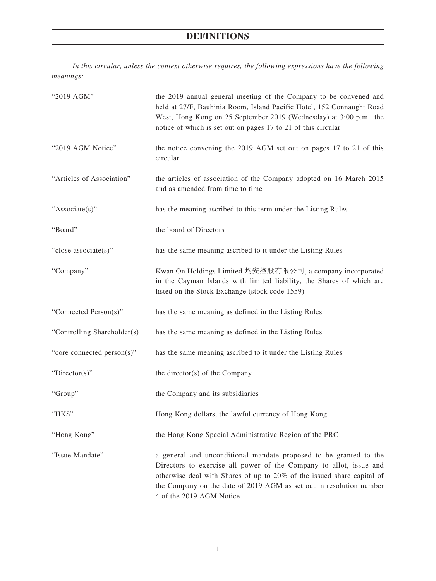# **DEFINITIONS**

*In this circular, unless the context otherwise requires, the following expressions have the following meanings:*

| "2019 AGM"                  | the 2019 annual general meeting of the Company to be convened and<br>held at 27/F, Bauhinia Room, Island Pacific Hotel, 152 Connaught Road<br>West, Hong Kong on 25 September 2019 (Wednesday) at 3:00 p.m., the<br>notice of which is set out on pages 17 to 21 of this circular                                    |  |  |
|-----------------------------|----------------------------------------------------------------------------------------------------------------------------------------------------------------------------------------------------------------------------------------------------------------------------------------------------------------------|--|--|
| "2019 AGM Notice"           | the notice convening the 2019 AGM set out on pages 17 to 21 of this<br>circular                                                                                                                                                                                                                                      |  |  |
| "Articles of Association"   | the articles of association of the Company adopted on 16 March 2015<br>and as amended from time to time                                                                                                                                                                                                              |  |  |
| "Associate(s)"              | has the meaning ascribed to this term under the Listing Rules                                                                                                                                                                                                                                                        |  |  |
| "Board"                     | the board of Directors                                                                                                                                                                                                                                                                                               |  |  |
| "close associate(s)"        | has the same meaning ascribed to it under the Listing Rules                                                                                                                                                                                                                                                          |  |  |
| "Company"                   | Kwan On Holdings Limited 均安控股有限公司, a company incorporated<br>in the Cayman Islands with limited liability, the Shares of which are<br>listed on the Stock Exchange (stock code 1559)                                                                                                                                 |  |  |
| "Connected Person(s)"       | has the same meaning as defined in the Listing Rules                                                                                                                                                                                                                                                                 |  |  |
| "Controlling Shareholder(s) | has the same meaning as defined in the Listing Rules                                                                                                                                                                                                                                                                 |  |  |
| "core connected person(s)"  | has the same meaning ascribed to it under the Listing Rules                                                                                                                                                                                                                                                          |  |  |
| "Director(s)"               | the director(s) of the Company                                                                                                                                                                                                                                                                                       |  |  |
| "Group"                     | the Company and its subsidiaries                                                                                                                                                                                                                                                                                     |  |  |
| "НК\$"                      | Hong Kong dollars, the lawful currency of Hong Kong                                                                                                                                                                                                                                                                  |  |  |
| "Hong Kong"                 | the Hong Kong Special Administrative Region of the PRC                                                                                                                                                                                                                                                               |  |  |
| "Issue Mandate"             | a general and unconditional mandate proposed to be granted to the<br>Directors to exercise all power of the Company to allot, issue and<br>otherwise deal with Shares of up to 20% of the issued share capital of<br>the Company on the date of 2019 AGM as set out in resolution number<br>4 of the 2019 AGM Notice |  |  |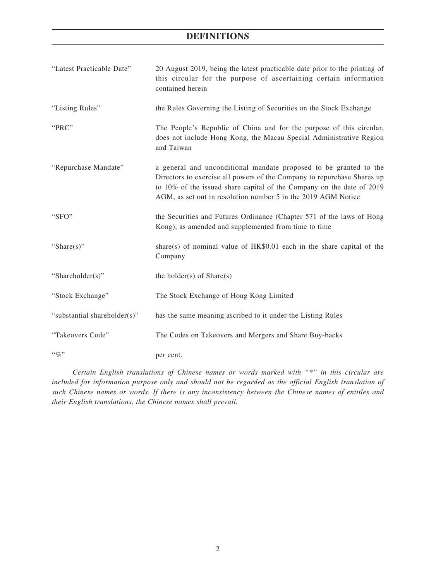# **DEFINITIONS**

| "Latest Practicable Date"    | 20 August 2019, being the latest practicable date prior to the printing of<br>this circular for the purpose of ascertaining certain information<br>contained herein                                                                                                                    |
|------------------------------|----------------------------------------------------------------------------------------------------------------------------------------------------------------------------------------------------------------------------------------------------------------------------------------|
| "Listing Rules"              | the Rules Governing the Listing of Securities on the Stock Exchange                                                                                                                                                                                                                    |
| "PRC"                        | The People's Republic of China and for the purpose of this circular,<br>does not include Hong Kong, the Macau Special Administrative Region<br>and Taiwan                                                                                                                              |
| "Repurchase Mandate"         | a general and unconditional mandate proposed to be granted to the<br>Directors to exercise all powers of the Company to repurchase Shares up<br>to 10% of the issued share capital of the Company on the date of 2019<br>AGM, as set out in resolution number 5 in the 2019 AGM Notice |
| "SFO"                        | the Securities and Futures Ordinance (Chapter 571 of the laws of Hong<br>Kong), as amended and supplemented from time to time                                                                                                                                                          |
| "Share $(s)$ "               | share(s) of nominal value of $HK$0.01$ each in the share capital of the<br>Company                                                                                                                                                                                                     |
| "Shareholder(s)"             | the holder(s) of $Share(s)$                                                                                                                                                                                                                                                            |
| "Stock Exchange"             | The Stock Exchange of Hong Kong Limited                                                                                                                                                                                                                                                |
| "substantial shareholder(s)" | has the same meaning ascribed to it under the Listing Rules                                                                                                                                                                                                                            |
| "Takeovers Code"             | The Codes on Takeovers and Mergers and Share Buy-backs                                                                                                                                                                                                                                 |
| $``\%"$                      | per cent.                                                                                                                                                                                                                                                                              |

*Certain English translations of Chinese names or words marked with "\*" in this circular are included for information purpose only and should not be regarded as the official English translation of such Chinese names or words. If there is any inconsistency between the Chinese names of entitles and their English translations, the Chinese names shall prevail.*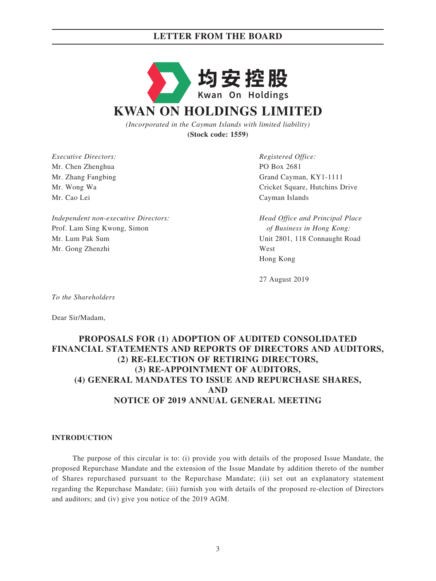

*(Incorporated in the Cayman Islands with limited liability)* **(Stock code: 1559)**

*Executive Directors: Registered Office:* Mr. Chen Zhenghua PO Box 2681 Mr. Cao Lei Cayman Islands

*Independent non-executive Directors: Head Office and Principal Place*  Prof. Lam Sing Kwong, Simon *of Business in Hong Kong:* Mr. Lum Pak Sum Unit 2801, 118 Connaught Road Mr. Gong Zhenzhi West

Mr. Zhang Fangbing Grand Cayman, KY1-1111 Mr. Wong Wa Cricket Square, Hutchins Drive

Hong Kong

27 August 2019

*To the Shareholders*

Dear Sir/Madam,

## **PROPOSALS FOR (1) ADOPTION OF AUDITED CONSOLIDATED FINANCIAL STATEMENTS AND REPORTS OF DIRECTORS AND AUDITORS, (2) RE-ELECTION OF RETIRING DIRECTORS, (3) RE-APPOINTMENT OF AUDITORS, (4) GENERAL MANDATES TO ISSUE AND REPURCHASE SHARES, AND NOTICE OF 2019 ANNUAL GENERAL MEETING**

#### **INTRODUCTION**

The purpose of this circular is to: (i) provide you with details of the proposed Issue Mandate, the proposed Repurchase Mandate and the extension of the Issue Mandate by addition thereto of the number of Shares repurchased pursuant to the Repurchase Mandate; (ii) set out an explanatory statement regarding the Repurchase Mandate; (iii) furnish you with details of the proposed re-election of Directors and auditors; and (iv) give you notice of the 2019 AGM.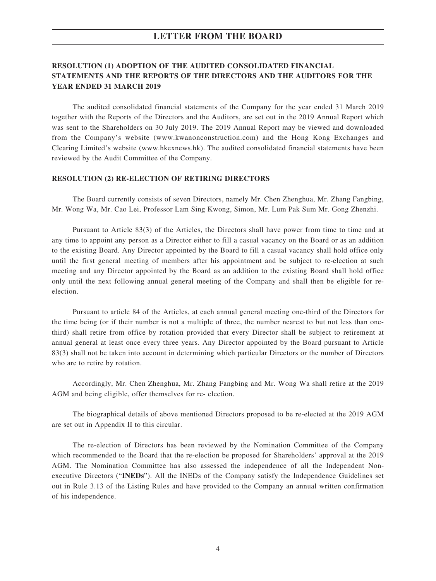## **RESOLUTION (1) ADOPTION OF THE AUDITED CONSOLIDATED FINANCIAL STATEMENTS AND THE REPORTS OF THE DIRECTORS AND THE AUDITORS FOR THE YEAR ENDED 31 MARCH 2019**

The audited consolidated financial statements of the Company for the year ended 31 March 2019 together with the Reports of the Directors and the Auditors, are set out in the 2019 Annual Report which was sent to the Shareholders on 30 July 2019. The 2019 Annual Report may be viewed and downloaded from the Company's website (www.kwanonconstruction.com) and the Hong Kong Exchanges and Clearing Limited's website (www.hkexnews.hk). The audited consolidated financial statements have been reviewed by the Audit Committee of the Company.

#### **RESOLUTION (2) RE-ELECTION OF RETIRING DIRECTORS**

The Board currently consists of seven Directors, namely Mr. Chen Zhenghua, Mr. Zhang Fangbing, Mr. Wong Wa, Mr. Cao Lei, Professor Lam Sing Kwong, Simon, Mr. Lum Pak Sum Mr. Gong Zhenzhi.

Pursuant to Article 83(3) of the Articles, the Directors shall have power from time to time and at any time to appoint any person as a Director either to fill a casual vacancy on the Board or as an addition to the existing Board. Any Director appointed by the Board to fill a casual vacancy shall hold office only until the first general meeting of members after his appointment and be subject to re-election at such meeting and any Director appointed by the Board as an addition to the existing Board shall hold office only until the next following annual general meeting of the Company and shall then be eligible for reelection.

Pursuant to article 84 of the Articles, at each annual general meeting one-third of the Directors for the time being (or if their number is not a multiple of three, the number nearest to but not less than onethird) shall retire from office by rotation provided that every Director shall be subject to retirement at annual general at least once every three years. Any Director appointed by the Board pursuant to Article 83(3) shall not be taken into account in determining which particular Directors or the number of Directors who are to retire by rotation.

Accordingly, Mr. Chen Zhenghua, Mr. Zhang Fangbing and Mr. Wong Wa shall retire at the 2019 AGM and being eligible, offer themselves for re- election.

The biographical details of above mentioned Directors proposed to be re-elected at the 2019 AGM are set out in Appendix II to this circular.

The re-election of Directors has been reviewed by the Nomination Committee of the Company which recommended to the Board that the re-election be proposed for Shareholders' approval at the 2019 AGM. The Nomination Committee has also assessed the independence of all the Independent Nonexecutive Directors ("**INEDs**"). All the INEDs of the Company satisfy the Independence Guidelines set out in Rule 3.13 of the Listing Rules and have provided to the Company an annual written confirmation of his independence.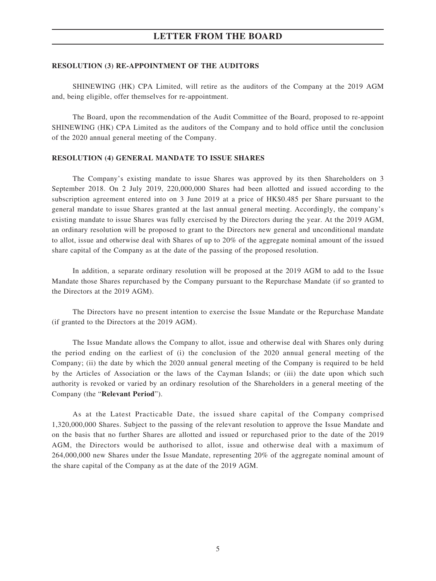#### **RESOLUTION (3) RE-APPOINTMENT OF THE AUDITORS**

SHINEWING (HK) CPA Limited, will retire as the auditors of the Company at the 2019 AGM and, being eligible, offer themselves for re-appointment.

The Board, upon the recommendation of the Audit Committee of the Board, proposed to re-appoint SHINEWING (HK) CPA Limited as the auditors of the Company and to hold office until the conclusion of the 2020 annual general meeting of the Company.

#### **RESOLUTION (4) GENERAL MANDATE TO ISSUE SHARES**

The Company's existing mandate to issue Shares was approved by its then Shareholders on 3 September 2018. On 2 July 2019, 220,000,000 Shares had been allotted and issued according to the subscription agreement entered into on 3 June 2019 at a price of HK\$0.485 per Share pursuant to the general mandate to issue Shares granted at the last annual general meeting. Accordingly, the company's existing mandate to issue Shares was fully exercised by the Directors during the year. At the 2019 AGM, an ordinary resolution will be proposed to grant to the Directors new general and unconditional mandate to allot, issue and otherwise deal with Shares of up to 20% of the aggregate nominal amount of the issued share capital of the Company as at the date of the passing of the proposed resolution.

In addition, a separate ordinary resolution will be proposed at the 2019 AGM to add to the Issue Mandate those Shares repurchased by the Company pursuant to the Repurchase Mandate (if so granted to the Directors at the 2019 AGM).

The Directors have no present intention to exercise the Issue Mandate or the Repurchase Mandate (if granted to the Directors at the 2019 AGM).

The Issue Mandate allows the Company to allot, issue and otherwise deal with Shares only during the period ending on the earliest of (i) the conclusion of the 2020 annual general meeting of the Company; (ii) the date by which the 2020 annual general meeting of the Company is required to be held by the Articles of Association or the laws of the Cayman Islands; or (iii) the date upon which such authority is revoked or varied by an ordinary resolution of the Shareholders in a general meeting of the Company (the "**Relevant Period**").

As at the Latest Practicable Date, the issued share capital of the Company comprised 1,320,000,000 Shares. Subject to the passing of the relevant resolution to approve the Issue Mandate and on the basis that no further Shares are allotted and issued or repurchased prior to the date of the 2019 AGM, the Directors would be authorised to allot, issue and otherwise deal with a maximum of 264,000,000 new Shares under the Issue Mandate, representing 20% of the aggregate nominal amount of the share capital of the Company as at the date of the 2019 AGM.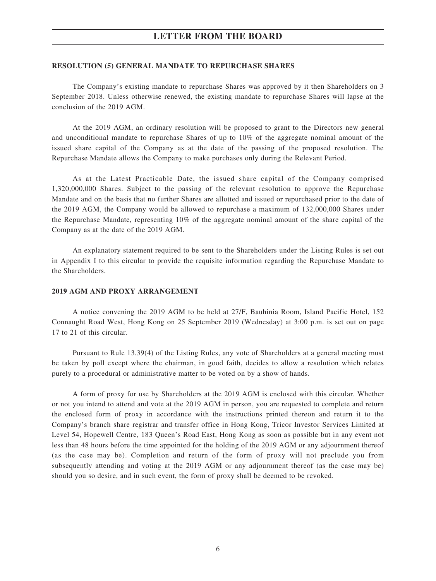#### **RESOLUTION (5) GENERAL MANDATE TO REPURCHASE SHARES**

The Company's existing mandate to repurchase Shares was approved by it then Shareholders on 3 September 2018. Unless otherwise renewed, the existing mandate to repurchase Shares will lapse at the conclusion of the 2019 AGM.

At the 2019 AGM, an ordinary resolution will be proposed to grant to the Directors new general and unconditional mandate to repurchase Shares of up to 10% of the aggregate nominal amount of the issued share capital of the Company as at the date of the passing of the proposed resolution. The Repurchase Mandate allows the Company to make purchases only during the Relevant Period.

As at the Latest Practicable Date, the issued share capital of the Company comprised 1,320,000,000 Shares. Subject to the passing of the relevant resolution to approve the Repurchase Mandate and on the basis that no further Shares are allotted and issued or repurchased prior to the date of the 2019 AGM, the Company would be allowed to repurchase a maximum of 132,000,000 Shares under the Repurchase Mandate, representing 10% of the aggregate nominal amount of the share capital of the Company as at the date of the 2019 AGM.

An explanatory statement required to be sent to the Shareholders under the Listing Rules is set out in Appendix I to this circular to provide the requisite information regarding the Repurchase Mandate to the Shareholders.

#### **2019 AGM AND PROXY ARRANGEMENT**

A notice convening the 2019 AGM to be held at 27/F, Bauhinia Room, Island Pacific Hotel, 152 Connaught Road West, Hong Kong on 25 September 2019 (Wednesday) at 3:00 p.m. is set out on page 17 to 21 of this circular.

Pursuant to Rule 13.39(4) of the Listing Rules, any vote of Shareholders at a general meeting must be taken by poll except where the chairman, in good faith, decides to allow a resolution which relates purely to a procedural or administrative matter to be voted on by a show of hands.

A form of proxy for use by Shareholders at the 2019 AGM is enclosed with this circular. Whether or not you intend to attend and vote at the 2019 AGM in person, you are requested to complete and return the enclosed form of proxy in accordance with the instructions printed thereon and return it to the Company's branch share registrar and transfer office in Hong Kong, Tricor Investor Services Limited at Level 54, Hopewell Centre, 183 Queen's Road East, Hong Kong as soon as possible but in any event not less than 48 hours before the time appointed for the holding of the 2019 AGM or any adjournment thereof (as the case may be). Completion and return of the form of proxy will not preclude you from subsequently attending and voting at the 2019 AGM or any adjournment thereof (as the case may be) should you so desire, and in such event, the form of proxy shall be deemed to be revoked.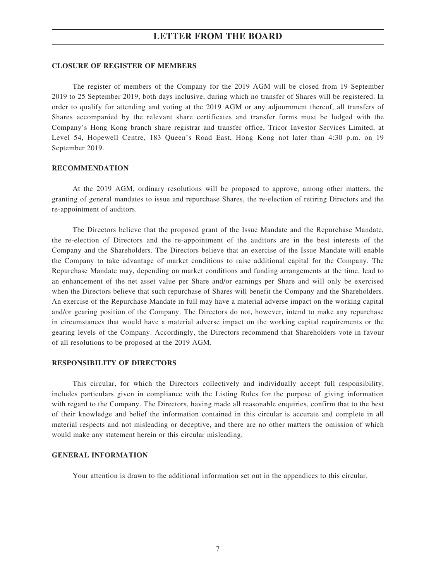#### **CLOSURE OF REGISTER OF MEMBERS**

The register of members of the Company for the 2019 AGM will be closed from 19 September 2019 to 25 September 2019, both days inclusive, during which no transfer of Shares will be registered. In order to qualify for attending and voting at the 2019 AGM or any adjournment thereof, all transfers of Shares accompanied by the relevant share certificates and transfer forms must be lodged with the Company's Hong Kong branch share registrar and transfer office, Tricor Investor Services Limited, at Level 54, Hopewell Centre, 183 Queen's Road East, Hong Kong not later than 4:30 p.m. on 19 September 2019.

#### **RECOMMENDATION**

At the 2019 AGM, ordinary resolutions will be proposed to approve, among other matters, the granting of general mandates to issue and repurchase Shares, the re-election of retiring Directors and the re-appointment of auditors.

The Directors believe that the proposed grant of the Issue Mandate and the Repurchase Mandate, the re-election of Directors and the re-appointment of the auditors are in the best interests of the Company and the Shareholders. The Directors believe that an exercise of the Issue Mandate will enable the Company to take advantage of market conditions to raise additional capital for the Company. The Repurchase Mandate may, depending on market conditions and funding arrangements at the time, lead to an enhancement of the net asset value per Share and/or earnings per Share and will only be exercised when the Directors believe that such repurchase of Shares will benefit the Company and the Shareholders. An exercise of the Repurchase Mandate in full may have a material adverse impact on the working capital and/or gearing position of the Company. The Directors do not, however, intend to make any repurchase in circumstances that would have a material adverse impact on the working capital requirements or the gearing levels of the Company. Accordingly, the Directors recommend that Shareholders vote in favour of all resolutions to be proposed at the 2019 AGM.

#### **RESPONSIBILITY OF DIRECTORS**

This circular, for which the Directors collectively and individually accept full responsibility, includes particulars given in compliance with the Listing Rules for the purpose of giving information with regard to the Company. The Directors, having made all reasonable enquiries, confirm that to the best of their knowledge and belief the information contained in this circular is accurate and complete in all material respects and not misleading or deceptive, and there are no other matters the omission of which would make any statement herein or this circular misleading.

#### **GENERAL INFORMATION**

Your attention is drawn to the additional information set out in the appendices to this circular.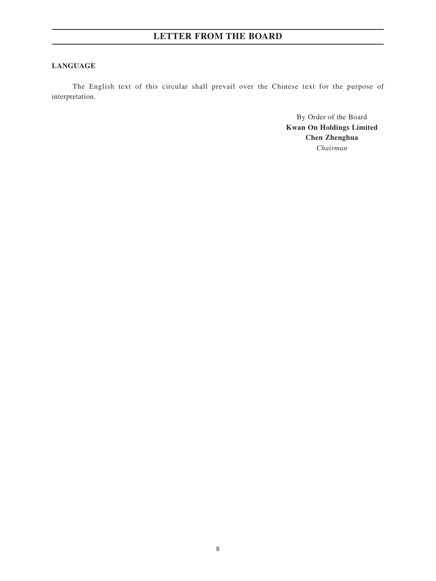### **LANGUAGE**

The English text of this circular shall prevail over the Chinese text for the purpose of interpretation.

> By Order of the Board **Kwan On Holdings Limited Chen Zhenghua** *Chairman*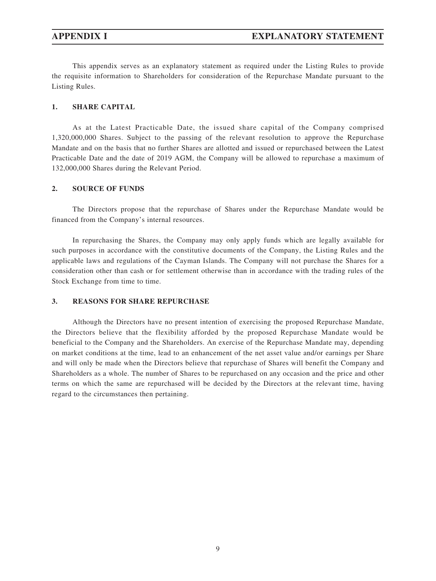This appendix serves as an explanatory statement as required under the Listing Rules to provide the requisite information to Shareholders for consideration of the Repurchase Mandate pursuant to the Listing Rules.

#### **1. SHARE CAPITAL**

As at the Latest Practicable Date, the issued share capital of the Company comprised 1,320,000,000 Shares. Subject to the passing of the relevant resolution to approve the Repurchase Mandate and on the basis that no further Shares are allotted and issued or repurchased between the Latest Practicable Date and the date of 2019 AGM, the Company will be allowed to repurchase a maximum of 132,000,000 Shares during the Relevant Period.

#### **2. SOURCE OF FUNDS**

The Directors propose that the repurchase of Shares under the Repurchase Mandate would be financed from the Company's internal resources.

In repurchasing the Shares, the Company may only apply funds which are legally available for such purposes in accordance with the constitutive documents of the Company, the Listing Rules and the applicable laws and regulations of the Cayman Islands. The Company will not purchase the Shares for a consideration other than cash or for settlement otherwise than in accordance with the trading rules of the Stock Exchange from time to time.

### **3. REASONS FOR SHARE REPURCHASE**

Although the Directors have no present intention of exercising the proposed Repurchase Mandate, the Directors believe that the flexibility afforded by the proposed Repurchase Mandate would be beneficial to the Company and the Shareholders. An exercise of the Repurchase Mandate may, depending on market conditions at the time, lead to an enhancement of the net asset value and/or earnings per Share and will only be made when the Directors believe that repurchase of Shares will benefit the Company and Shareholders as a whole. The number of Shares to be repurchased on any occasion and the price and other terms on which the same are repurchased will be decided by the Directors at the relevant time, having regard to the circumstances then pertaining.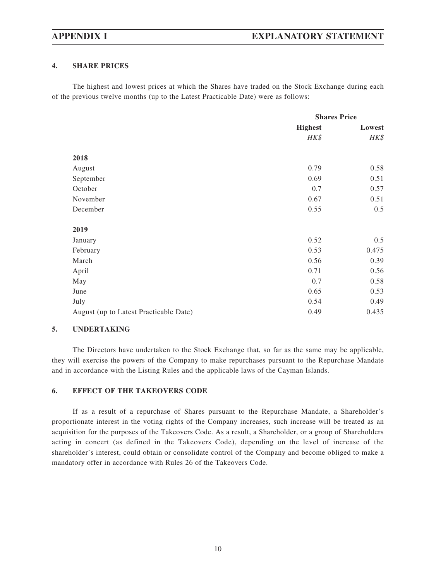### **4. SHARE PRICES**

The highest and lowest prices at which the Shares have traded on the Stock Exchange during each of the previous twelve months (up to the Latest Practicable Date) were as follows:

|                                        | <b>Shares Price</b> |        |
|----------------------------------------|---------------------|--------|
|                                        | <b>Highest</b>      | Lowest |
|                                        | HK\$                | HK\$   |
| 2018                                   |                     |        |
|                                        | 0.79                | 0.58   |
| August                                 |                     |        |
| September                              | 0.69                | 0.51   |
| October                                | 0.7                 | 0.57   |
| November                               | 0.67                | 0.51   |
| December                               | 0.55                | 0.5    |
| 2019                                   |                     |        |
| January                                | 0.52                | 0.5    |
| February                               | 0.53                | 0.475  |
| March                                  | 0.56                | 0.39   |
| April                                  | 0.71                | 0.56   |
| May                                    | 0.7                 | 0.58   |
| June                                   | 0.65                | 0.53   |
| July                                   | 0.54                | 0.49   |
| August (up to Latest Practicable Date) | 0.49                | 0.435  |

#### **5. UNDERTAKING**

The Directors have undertaken to the Stock Exchange that, so far as the same may be applicable, they will exercise the powers of the Company to make repurchases pursuant to the Repurchase Mandate and in accordance with the Listing Rules and the applicable laws of the Cayman Islands.

#### **6. EFFECT OF THE TAKEOVERS CODE**

If as a result of a repurchase of Shares pursuant to the Repurchase Mandate, a Shareholder's proportionate interest in the voting rights of the Company increases, such increase will be treated as an acquisition for the purposes of the Takeovers Code. As a result, a Shareholder, or a group of Shareholders acting in concert (as defined in the Takeovers Code), depending on the level of increase of the shareholder's interest, could obtain or consolidate control of the Company and become obliged to make a mandatory offer in accordance with Rules 26 of the Takeovers Code.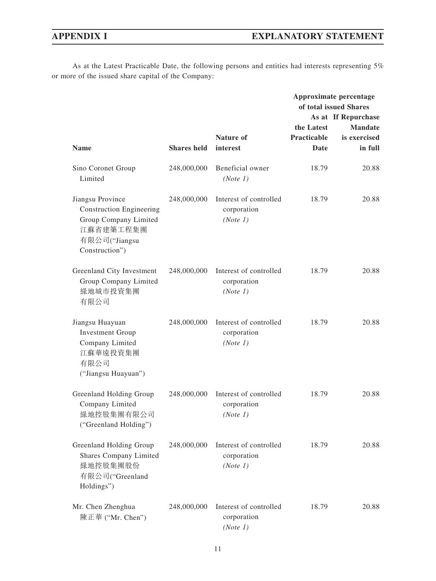As at the Latest Practicable Date, the following persons and entities had interests representing 5% or more of the issued share capital of the Company:

|                                                                                                                              |                    |                                                   | Approximate percentage<br>of total issued Shares<br>As at If Repurchase |                                           |
|------------------------------------------------------------------------------------------------------------------------------|--------------------|---------------------------------------------------|-------------------------------------------------------------------------|-------------------------------------------|
| <b>Name</b>                                                                                                                  | <b>Shares</b> held | Nature of<br>interest                             | the Latest<br>Practicable<br>Date                                       | <b>Mandate</b><br>is exercised<br>in full |
| Sino Coronet Group<br>Limited                                                                                                | 248,000,000        | Beneficial owner<br>(Note 1)                      | 18.79                                                                   | 20.88                                     |
| Jiangsu Province<br><b>Construction Engineering</b><br>Group Company Limited<br>江蘇省建築工程集團<br>有限公司("Jiangsu<br>Construction") | 248,000,000        | Interest of controlled<br>corporation<br>(Note 1) | 18.79                                                                   | 20.88                                     |
| Greenland City Investment<br>Group Company Limited<br>綠地城市投資集團<br>有限公司                                                       | 248,000,000        | Interest of controlled<br>corporation<br>(Note 1) | 18.79                                                                   | 20.88                                     |
| Jiangsu Huayuan<br><b>Investment Group</b><br>Company Limited<br>江蘇華遠投資集團<br>有限公司<br>("Jiangsu Huayuan")                     | 248,000,000        | Interest of controlled<br>corporation<br>(Note 1) | 18.79                                                                   | 20.88                                     |
| Greenland Holding Group<br>Company Limited<br>綠地控股集團有限公司<br>("Greenland Holding")                                            | 248,000,000        | Interest of controlled<br>corporation<br>(Note 1) | 18.79                                                                   | 20.88                                     |
| Greenland Holding Group<br><b>Shares Company Limited</b><br>綠地控股集團股份<br>有限公司("Greenland<br>Holdings")                        | 248,000,000        | Interest of controlled<br>corporation<br>(Note 1) | 18.79                                                                   | 20.88                                     |
| Mr. Chen Zhenghua<br>陳正華 ("Mr. Chen")                                                                                        | 248,000,000        | Interest of controlled<br>corporation<br>(Note 1) | 18.79                                                                   | 20.88                                     |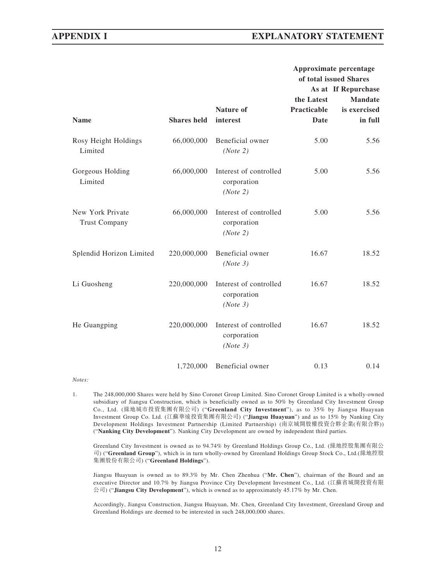## **APPENDIX I EXPLANATORY STATEMENT**

|                                          |                    |                                                   | Approximate percentage |                        |
|------------------------------------------|--------------------|---------------------------------------------------|------------------------|------------------------|
|                                          |                    |                                                   |                        | of total issued Shares |
|                                          |                    |                                                   |                        | As at If Repurchase    |
|                                          |                    |                                                   | the Latest             | <b>Mandate</b>         |
|                                          |                    | Nature of                                         | <b>Practicable</b>     | is exercised           |
| <b>Name</b>                              | <b>Shares</b> held | interest                                          | Date                   | in full                |
| Rosy Height Holdings<br>Limited          | 66,000,000         | Beneficial owner<br>(Note 2)                      | 5.00                   | 5.56                   |
| Gorgeous Holding<br>Limited              | 66,000,000         | Interest of controlled<br>corporation<br>(Note 2) | 5.00                   | 5.56                   |
| New York Private<br><b>Trust Company</b> | 66,000,000         | Interest of controlled<br>corporation<br>(Note 2) | 5.00                   | 5.56                   |
| Splendid Horizon Limited                 | 220,000,000        | Beneficial owner<br>(Note 3)                      | 16.67                  | 18.52                  |
| Li Guosheng                              | 220,000,000        | Interest of controlled<br>corporation<br>(Note 3) | 16.67                  | 18.52                  |
| He Guangping                             | 220,000,000        | Interest of controlled<br>corporation<br>(Note 3) | 16.67                  | 18.52                  |
|                                          | 1,720,000          | Beneficial owner                                  | 0.13                   | 0.14                   |

*Notes:*

1. The 248,000,000 Shares were held by Sino Coronet Group Limited. Sino Coronet Group Limited is a wholly-owned subsidiary of Jiangsu Construction, which is beneficially owned as to 50% by Greenland City Investment Group Co., Ltd. (綠地城市投資集團有限公司) ("**Greenland City Investment**"), as to 35% by Jiangsu Huayuan Investment Group Co. Ltd. (江蘇華遠投資集團有限公司) ("**Jiangsu Huayuan**") and as to 15% by Nanking City Development Holdings Investment Partnership (Limited Partnership) (南京城開股權投資合夥企業(有限合夥)) ("**Nanking City Development**"). Nanking City Development are owned by independent third parties.

Greenland City Investment is owned as to 94.74% by Greenland Holdings Group Co., Ltd. (綠地控股集團有限公 司) ("**Greenland Group**"), which is in turn wholly-owned by Greenland Holdings Group Stock Co., Ltd.(綠地控股 集團股份有限公司) ("**Greenland Holdings**").

Jiangsu Huayuan is owned as to 89.3% by Mr. Chen Zhenhua ("**Mr. Chen**"), chairman of the Board and an executive Director and 10.7% by Jiangsu Province City Development Investment Co., Ltd. (江蘇省城開投資有限 公司) ("**Jiangsu City Development**"), which is owned as to approximately 45.17% by Mr. Chen.

Accordingly, Jiangsu Construction, Jiangsu Huayuan, Mr. Chen, Greenland City Investment, Greenland Group and Greenland Holdings are deemed to be interested in such 248,000,000 shares.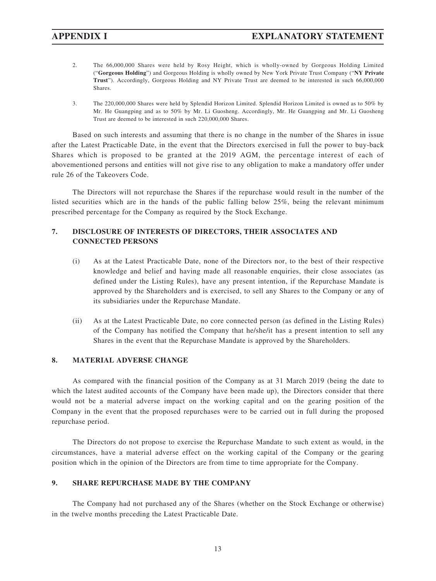- 2. The 66,000,000 Shares were held by Rosy Height, which is wholly-owned by Gorgeous Holding Limited ("**Gorgeous Holding**") and Gorgeous Holding is wholly owned by New York Private Trust Company ("**NY Private Trust**"). Accordingly, Gorgeous Holding and NY Private Trust are deemed to be interested in such 66,000,000 Shares.
- 3. The 220,000,000 Shares were held by Splendid Horizon Limited. Splendid Horizon Limited is owned as to 50% by Mr. He Guangping and as to 50% by Mr. Li Guosheng. Accordingly, Mr. He Guangping and Mr. Li Guosheng Trust are deemed to be interested in such 220,000,000 Shares.

Based on such interests and assuming that there is no change in the number of the Shares in issue after the Latest Practicable Date, in the event that the Directors exercised in full the power to buy-back Shares which is proposed to be granted at the 2019 AGM, the percentage interest of each of abovementioned persons and entities will not give rise to any obligation to make a mandatory offer under rule 26 of the Takeovers Code.

The Directors will not repurchase the Shares if the repurchase would result in the number of the listed securities which are in the hands of the public falling below 25%, being the relevant minimum prescribed percentage for the Company as required by the Stock Exchange.

## **7. DISCLOSURE OF INTERESTS OF DIRECTORS, THEIR ASSOCIATES AND CONNECTED PERSONS**

- (i) As at the Latest Practicable Date, none of the Directors nor, to the best of their respective knowledge and belief and having made all reasonable enquiries, their close associates (as defined under the Listing Rules), have any present intention, if the Repurchase Mandate is approved by the Shareholders and is exercised, to sell any Shares to the Company or any of its subsidiaries under the Repurchase Mandate.
- (ii) As at the Latest Practicable Date, no core connected person (as defined in the Listing Rules) of the Company has notified the Company that he/she/it has a present intention to sell any Shares in the event that the Repurchase Mandate is approved by the Shareholders.

### **8. MATERIAL ADVERSE CHANGE**

As compared with the financial position of the Company as at 31 March 2019 (being the date to which the latest audited accounts of the Company have been made up), the Directors consider that there would not be a material adverse impact on the working capital and on the gearing position of the Company in the event that the proposed repurchases were to be carried out in full during the proposed repurchase period.

The Directors do not propose to exercise the Repurchase Mandate to such extent as would, in the circumstances, have a material adverse effect on the working capital of the Company or the gearing position which in the opinion of the Directors are from time to time appropriate for the Company.

### **9. SHARE REPURCHASE MADE BY THE COMPANY**

The Company had not purchased any of the Shares (whether on the Stock Exchange or otherwise) in the twelve months preceding the Latest Practicable Date.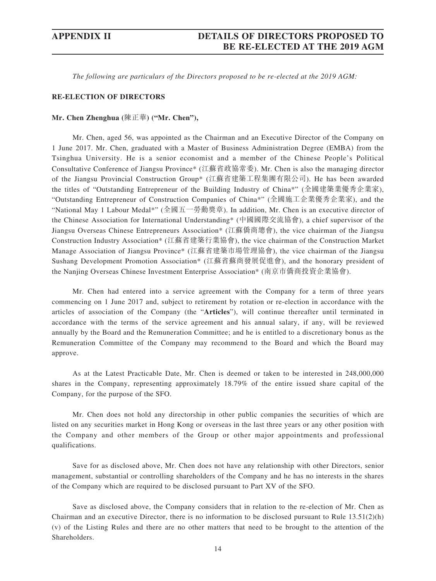*The following are particulars of the Directors proposed to be re-elected at the 2019 AGM:*

#### **RE-ELECTION OF DIRECTORS**

#### **Mr. Chen Zhenghua (**陳正華**) ("Mr. Chen"),**

Mr. Chen, aged 56, was appointed as the Chairman and an Executive Director of the Company on 1 June 2017. Mr. Chen, graduated with a Master of Business Administration Degree (EMBA) from the Tsinghua University. He is a senior economist and a member of the Chinese People's Political Consultative Conference of Jiangsu Province\* (江蘇省政協常委). Mr. Chen is also the managing director of the Jiangsu Provincial Construction Group\* (江蘇省建築工程集團有限公司). He has been awarded the titles of "Outstanding Entrepreneur of the Building Industry of China\*" (全國建築業優秀企業家), "Outstanding Entrepreneur of Construction Companies of China\*" (全國施工企業優秀企業家), and the "National May 1 Labour Medal\*" (全國五一勞動獎章). In addition, Mr. Chen is an executive director of the Chinese Association for International Understanding\* (中國國際交流協會), a chief supervisor of the Jiangsu Overseas Chinese Entrepreneurs Association\* (江蘇僑商總會), the vice chairman of the Jiangsu Construction Industry Association\* (江蘇省建築行業協會), the vice chairman of the Construction Market Manage Association of Jiangsu Province\* (江蘇省建築市場管理協會), the vice chairman of the Jiangsu Sushang Development Promotion Association\* (江蘇省蘇商發展促進會), and the honorary president of the Nanjing Overseas Chinese Investment Enterprise Association\* (南京市僑商投資企業協會).

Mr. Chen had entered into a service agreement with the Company for a term of three years commencing on 1 June 2017 and, subject to retirement by rotation or re-election in accordance with the articles of association of the Company (the "**Articles**"), will continue thereafter until terminated in accordance with the terms of the service agreement and his annual salary, if any, will be reviewed annually by the Board and the Remuneration Committee; and he is entitled to a discretionary bonus as the Remuneration Committee of the Company may recommend to the Board and which the Board may approve.

As at the Latest Practicable Date, Mr. Chen is deemed or taken to be interested in 248,000,000 shares in the Company, representing approximately 18.79% of the entire issued share capital of the Company, for the purpose of the SFO.

Mr. Chen does not hold any directorship in other public companies the securities of which are listed on any securities market in Hong Kong or overseas in the last three years or any other position with the Company and other members of the Group or other major appointments and professional qualifications.

Save for as disclosed above, Mr. Chen does not have any relationship with other Directors, senior management, substantial or controlling shareholders of the Company and he has no interests in the shares of the Company which are required to be disclosed pursuant to Part XV of the SFO.

Save as disclosed above, the Company considers that in relation to the re-election of Mr. Chen as Chairman and an executive Director, there is no information to be disclosed pursuant to Rule  $13.51(2)(h)$ (v) of the Listing Rules and there are no other matters that need to be brought to the attention of the Shareholders.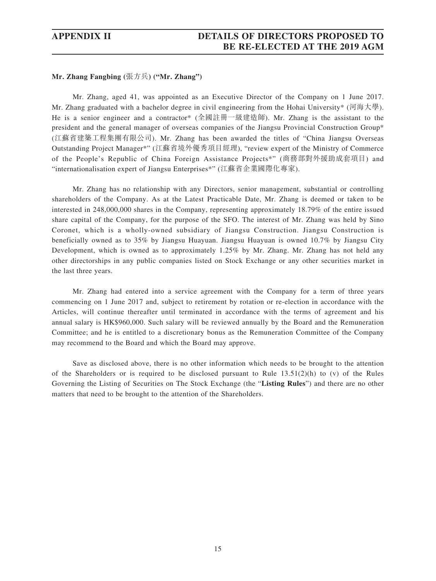#### **Mr. Zhang Fangbing (**張方兵**) ("Mr. Zhang")**

Mr. Zhang, aged 41, was appointed as an Executive Director of the Company on 1 June 2017. Mr. Zhang graduated with a bachelor degree in civil engineering from the Hohai University\* (河海大學). He is a senior engineer and a contractor\* (全國註冊一級建造師). Mr. Zhang is the assistant to the president and the general manager of overseas companies of the Jiangsu Provincial Construction Group\* (江蘇省建築工程集團有限公司). Mr. Zhang has been awarded the titles of "China Jiangsu Overseas Outstanding Project Manager\*" (江蘇省境外優秀項目經理), "review expert of the Ministry of Commerce of the People's Republic of China Foreign Assistance Projects\*" (商務部對外援助成套項目) and "internationalisation expert of Jiangsu Enterprises\*" (江蘇省企業國際化專家).

Mr. Zhang has no relationship with any Directors, senior management, substantial or controlling shareholders of the Company. As at the Latest Practicable Date, Mr. Zhang is deemed or taken to be interested in 248,000,000 shares in the Company, representing approximately 18.79% of the entire issued share capital of the Company, for the purpose of the SFO. The interest of Mr. Zhang was held by Sino Coronet, which is a wholly-owned subsidiary of Jiangsu Construction. Jiangsu Construction is beneficially owned as to 35% by Jiangsu Huayuan. Jiangsu Huayuan is owned 10.7% by Jiangsu City Development, which is owned as to approximately 1.25% by Mr. Zhang. Mr. Zhang has not held any other directorships in any public companies listed on Stock Exchange or any other securities market in the last three years.

Mr. Zhang had entered into a service agreement with the Company for a term of three years commencing on 1 June 2017 and, subject to retirement by rotation or re-election in accordance with the Articles, will continue thereafter until terminated in accordance with the terms of agreement and his annual salary is HK\$960,000. Such salary will be reviewed annually by the Board and the Remuneration Committee; and he is entitled to a discretionary bonus as the Remuneration Committee of the Company may recommend to the Board and which the Board may approve.

Save as disclosed above, there is no other information which needs to be brought to the attention of the Shareholders or is required to be disclosed pursuant to Rule  $13.51(2)(h)$  to (v) of the Rules Governing the Listing of Securities on The Stock Exchange (the "**Listing Rules**") and there are no other matters that need to be brought to the attention of the Shareholders.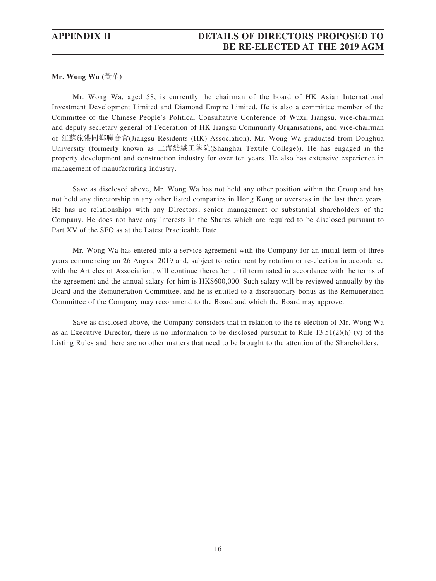**Mr. Wong Wa (**黃華**)**

Mr. Wong Wa, aged 58, is currently the chairman of the board of HK Asian International Investment Development Limited and Diamond Empire Limited. He is also a committee member of the Committee of the Chinese People's Political Consultative Conference of Wuxi, Jiangsu, vice-chairman and deputy secretary general of Federation of HK Jiangsu Community Organisations, and vice-chairman of 江蘇旅港同鄉聯合會(Jiangsu Residents (HK) Association). Mr. Wong Wa graduated from Donghua University (formerly known as 上海紡織工學院(Shanghai Textile College)). He has engaged in the property development and construction industry for over ten years. He also has extensive experience in management of manufacturing industry.

Save as disclosed above, Mr. Wong Wa has not held any other position within the Group and has not held any directorship in any other listed companies in Hong Kong or overseas in the last three years. He has no relationships with any Directors, senior management or substantial shareholders of the Company. He does not have any interests in the Shares which are required to be disclosed pursuant to Part XV of the SFO as at the Latest Practicable Date.

Mr. Wong Wa has entered into a service agreement with the Company for an initial term of three years commencing on 26 August 2019 and, subject to retirement by rotation or re-election in accordance with the Articles of Association, will continue thereafter until terminated in accordance with the terms of the agreement and the annual salary for him is HK\$600,000. Such salary will be reviewed annually by the Board and the Remuneration Committee; and he is entitled to a discretionary bonus as the Remuneration Committee of the Company may recommend to the Board and which the Board may approve.

Save as disclosed above, the Company considers that in relation to the re-election of Mr. Wong Wa as an Executive Director, there is no information to be disclosed pursuant to Rule  $13.51(2)(h)-(v)$  of the Listing Rules and there are no other matters that need to be brought to the attention of the Shareholders.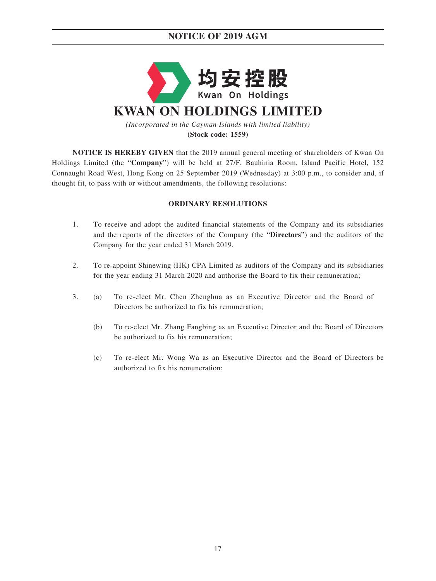# **NOTICE OF 2019 AGM**



**(Stock code: 1559)**

**NOTICE IS HEREBY GIVEN** that the 2019 annual general meeting of shareholders of Kwan On Holdings Limited (the "**Company**") will be held at 27/F, Bauhinia Room, Island Pacific Hotel, 152 Connaught Road West, Hong Kong on 25 September 2019 (Wednesday) at 3:00 p.m., to consider and, if thought fit, to pass with or without amendments, the following resolutions:

### **ORDINARY RESOLUTIONS**

- 1. To receive and adopt the audited financial statements of the Company and its subsidiaries and the reports of the directors of the Company (the "**Directors**") and the auditors of the Company for the year ended 31 March 2019.
- 2. To re-appoint Shinewing (HK) CPA Limited as auditors of the Company and its subsidiaries for the year ending 31 March 2020 and authorise the Board to fix their remuneration;
- 3. (a) To re-elect Mr. Chen Zhenghua as an Executive Director and the Board of Directors be authorized to fix his remuneration;
	- (b) To re-elect Mr. Zhang Fangbing as an Executive Director and the Board of Directors be authorized to fix his remuneration;
	- (c) To re-elect Mr. Wong Wa as an Executive Director and the Board of Directors be authorized to fix his remuneration;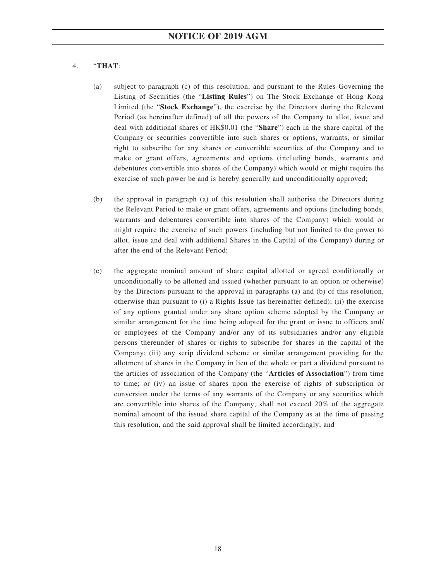### 4. "**THAT**:

- (a) subject to paragraph (c) of this resolution, and pursuant to the Rules Governing the Listing of Securities (the "**Listing Rules**") on The Stock Exchange of Hong Kong Limited (the "**Stock Exchange**"), the exercise by the Directors during the Relevant Period (as hereinafter defined) of all the powers of the Company to allot, issue and deal with additional shares of HK\$0.01 (the "**Share**") each in the share capital of the Company or securities convertible into such shares or options, warrants, or similar right to subscribe for any shares or convertible securities of the Company and to make or grant offers, agreements and options (including bonds, warrants and debentures convertible into shares of the Company) which would or might require the exercise of such power be and is hereby generally and unconditionally approved;
- (b) the approval in paragraph (a) of this resolution shall authorise the Directors during the Relevant Period to make or grant offers, agreements and options (including bonds, warrants and debentures convertible into shares of the Company) which would or might require the exercise of such powers (including but not limited to the power to allot, issue and deal with additional Shares in the Capital of the Company) during or after the end of the Relevant Period;
- (c) the aggregate nominal amount of share capital allotted or agreed conditionally or unconditionally to be allotted and issued (whether pursuant to an option or otherwise) by the Directors pursuant to the approval in paragraphs (a) and (b) of this resolution, otherwise than pursuant to (i) a Rights Issue (as hereinafter defined); (ii) the exercise of any options granted under any share option scheme adopted by the Company or similar arrangement for the time being adopted for the grant or issue to officers and/ or employees of the Company and/or any of its subsidiaries and/or any eligible persons thereunder of shares or rights to subscribe for shares in the capital of the Company; (iii) any scrip dividend scheme or similar arrangement providing for the allotment of shares in the Company in lieu of the whole or part a dividend pursuant to the articles of association of the Company (the "**Articles of Association**") from time to time; or (iv) an issue of shares upon the exercise of rights of subscription or conversion under the terms of any warrants of the Company or any securities which are convertible into shares of the Company, shall not exceed 20% of the aggregate nominal amount of the issued share capital of the Company as at the time of passing this resolution, and the said approval shall be limited accordingly; and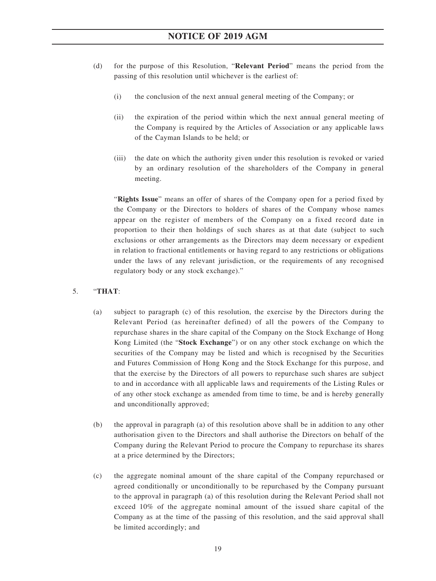- (d) for the purpose of this Resolution, "**Relevant Period**" means the period from the passing of this resolution until whichever is the earliest of:
	- (i) the conclusion of the next annual general meeting of the Company; or
	- (ii) the expiration of the period within which the next annual general meeting of the Company is required by the Articles of Association or any applicable laws of the Cayman Islands to be held; or
	- (iii) the date on which the authority given under this resolution is revoked or varied by an ordinary resolution of the shareholders of the Company in general meeting.

"**Rights Issue**" means an offer of shares of the Company open for a period fixed by the Company or the Directors to holders of shares of the Company whose names appear on the register of members of the Company on a fixed record date in proportion to their then holdings of such shares as at that date (subject to such exclusions or other arrangements as the Directors may deem necessary or expedient in relation to fractional entitlements or having regard to any restrictions or obligations under the laws of any relevant jurisdiction, or the requirements of any recognised regulatory body or any stock exchange)."

### 5. "**THAT**:

- (a) subject to paragraph (c) of this resolution, the exercise by the Directors during the Relevant Period (as hereinafter defined) of all the powers of the Company to repurchase shares in the share capital of the Company on the Stock Exchange of Hong Kong Limited (the "**Stock Exchange**") or on any other stock exchange on which the securities of the Company may be listed and which is recognised by the Securities and Futures Commission of Hong Kong and the Stock Exchange for this purpose, and that the exercise by the Directors of all powers to repurchase such shares are subject to and in accordance with all applicable laws and requirements of the Listing Rules or of any other stock exchange as amended from time to time, be and is hereby generally and unconditionally approved;
- (b) the approval in paragraph (a) of this resolution above shall be in addition to any other authorisation given to the Directors and shall authorise the Directors on behalf of the Company during the Relevant Period to procure the Company to repurchase its shares at a price determined by the Directors;
- (c) the aggregate nominal amount of the share capital of the Company repurchased or agreed conditionally or unconditionally to be repurchased by the Company pursuant to the approval in paragraph (a) of this resolution during the Relevant Period shall not exceed 10% of the aggregate nominal amount of the issued share capital of the Company as at the time of the passing of this resolution, and the said approval shall be limited accordingly; and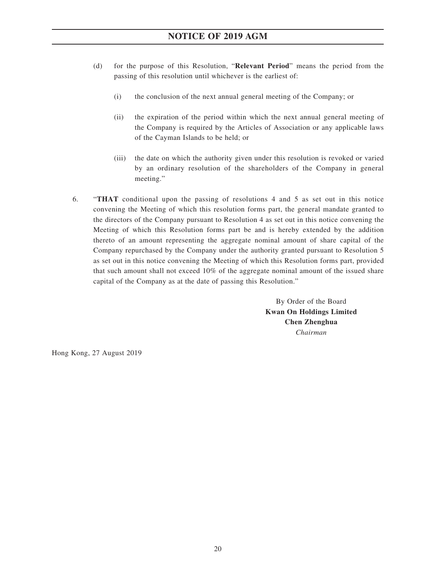- (d) for the purpose of this Resolution, "**Relevant Period**" means the period from the passing of this resolution until whichever is the earliest of:
	- (i) the conclusion of the next annual general meeting of the Company; or
	- (ii) the expiration of the period within which the next annual general meeting of the Company is required by the Articles of Association or any applicable laws of the Cayman Islands to be held; or
	- (iii) the date on which the authority given under this resolution is revoked or varied by an ordinary resolution of the shareholders of the Company in general meeting."
- 6. "**THAT** conditional upon the passing of resolutions 4 and 5 as set out in this notice convening the Meeting of which this resolution forms part, the general mandate granted to the directors of the Company pursuant to Resolution 4 as set out in this notice convening the Meeting of which this Resolution forms part be and is hereby extended by the addition thereto of an amount representing the aggregate nominal amount of share capital of the Company repurchased by the Company under the authority granted pursuant to Resolution 5 as set out in this notice convening the Meeting of which this Resolution forms part, provided that such amount shall not exceed 10% of the aggregate nominal amount of the issued share capital of the Company as at the date of passing this Resolution."

By Order of the Board **Kwan On Holdings Limited Chen Zhenghua** *Chairman*

Hong Kong, 27 August 2019